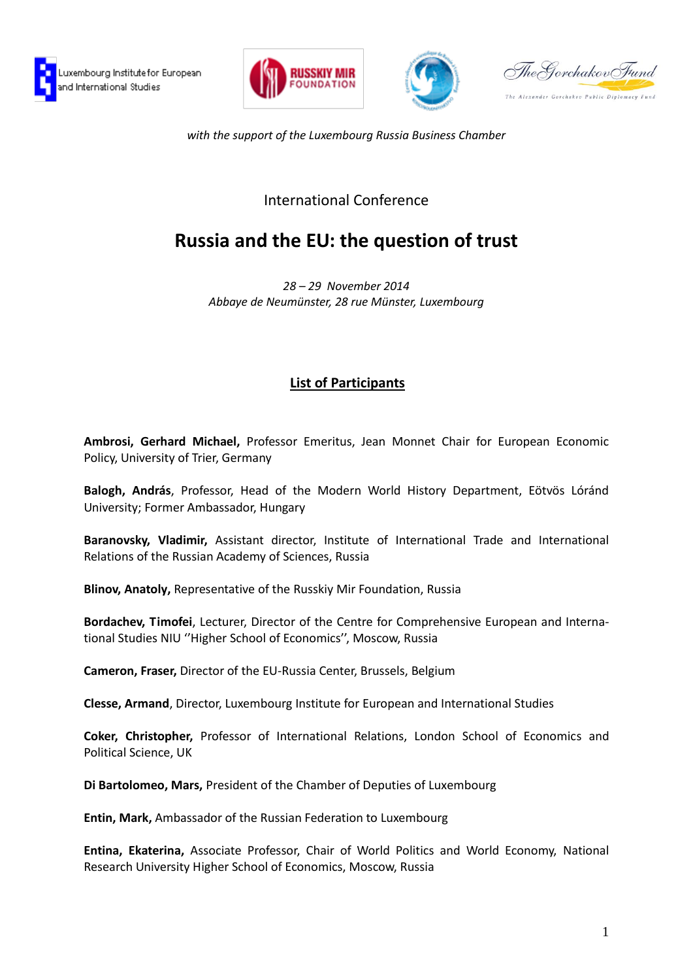





The Govchakov Fund The Alexander Gorchakov Public Diplomacy Fung

*with the support of the Luxembourg Russia Business Chamber*

## International Conference

## **Russia and the EU: the question of trust**

*28 – 29 November 2014 Abbaye de Neumünster, 28 rue Münster, Luxembourg*

## **List of Participants**

**Ambrosi, Gerhard Michael,** Professor Emeritus, Jean Monnet Chair for European Economic Policy, University of Trier, Germany

**Balogh, András**, Professor, Head of the Modern World History Department, Eötvös Lóránd University; Former Ambassador, Hungary

**Baranovsky, Vladimir,** Assistant director, Institute of International Trade and International Relations of the Russian Academy of Sciences, Russia

**Blinov, Anatoly,** Representative of the Russkiy Mir Foundation, Russia

**Bordachev, Timofei**, Lecturer, Director of the Centre for Comprehensive European and International Studies NIU ''Higher School of Economics'', Moscow, Russia

**Cameron, Fraser,** Director of the EU-Russia Center, Brussels, Belgium

**Clesse, Armand**, Director, Luxembourg Institute for European and International Studies

**Coker, Christopher,** Professor of International Relations, London School of Economics and Political Science, UK

**Di Bartolomeo, Mars,** President of the Chamber of Deputies of Luxembourg

**Entin, Mark,** Ambassador of the Russian Federation to Luxembourg

**Entina, Ekaterina,** Associate Professor, Chair of World Politics and World Economy, National Research University Higher School of Economics, Moscow, Russia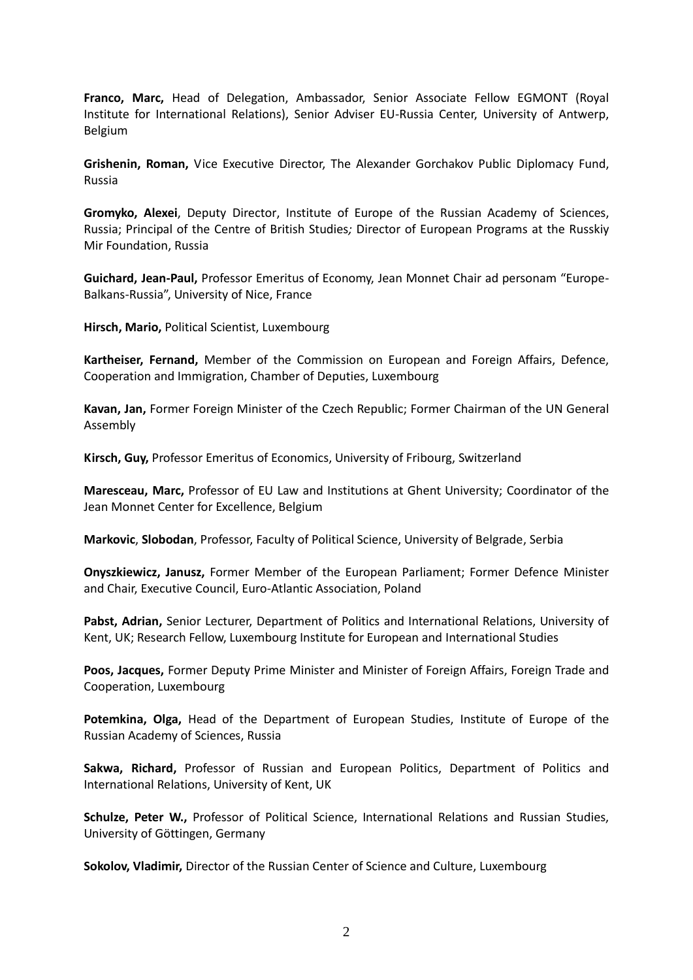**Franco, Marc,** Head of Delegation, Ambassador, Senior Associate Fellow EGMONT (Royal Institute for International Relations), Senior Adviser EU-Russia Center, University of Antwerp, Belgium

**Grishenin, Roman,** Vice Executive Director, The Alexander Gorchakov Public Diplomacy Fund, Russia

**Gromyko, Alexei**, Deputy Director, Institute of Europe of the Russian Academy of Sciences, Russia; Principal of the Centre of British Studies*;* Director of European Programs at the Russkiy Mir Foundation, Russia

**Guichard, Jean-Paul,** Professor Emeritus of Economy, Jean Monnet Chair ad personam "Europe-Balkans-Russia", University of Nice, France

**Hirsch, Mario,** Political Scientist, Luxembourg

**Kartheiser, Fernand,** Member of the Commission on European and Foreign Affairs, Defence, Cooperation and Immigration, Chamber of Deputies, Luxembourg

**Kavan, Jan,** Former Foreign Minister of the Czech Republic; Former Chairman of the UN General Assembly

**Kirsch, Guy,** Professor Emeritus of Economics, University of Fribourg, Switzerland

**Maresceau, Marc,** Professor of EU Law and Institutions at Ghent University; Coordinator of the Jean Monnet Center for Excellence, Belgium

**Markovic**, **Slobodan**, Professor, Faculty of Political Science, University of Belgrade, Serbia

**Onyszkiewicz, Janusz,** Former Member of the European Parliament; Former Defence Minister and Chair, Executive Council, Euro-Atlantic Association, Poland

**Pabst, Adrian,** Senior Lecturer, Department of Politics and International Relations, University of Kent, UK; Research Fellow, Luxembourg Institute for European and International Studies

**Poos, Jacques,** Former Deputy Prime Minister and Minister of Foreign Affairs, Foreign Trade and Cooperation, Luxembourg

**Potemkina, Olga,** Head of the Department of European Studies, Institute of Europe of the Russian Academy of Sciences, Russia

**Sakwa, Richard,** Professor of Russian and European Politics, Department of Politics and International Relations, University of Kent, UK

**Schulze, Peter W.,** Professor of Political Science, International Relations and Russian Studies, University of Göttingen, Germany

**Sokolov, Vladimir,** Director of the Russian Center of Science and Culture, Luxembourg